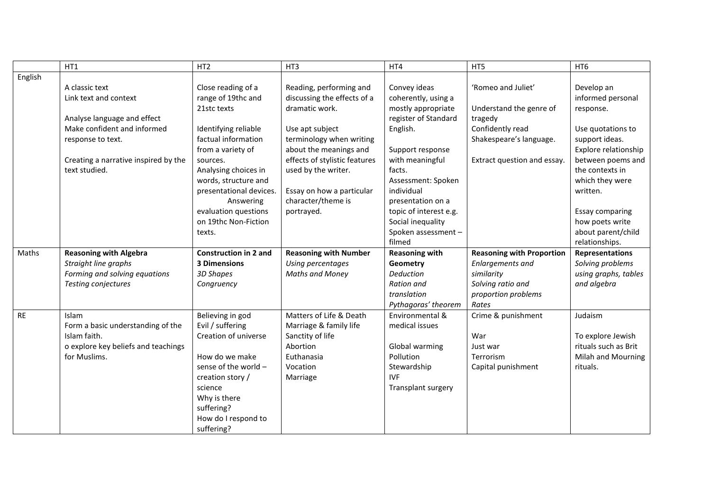|           | HT1                                  | HT <sub>2</sub>              | HT3                           | HT4                    | HT5                              | HT <sub>6</sub>        |
|-----------|--------------------------------------|------------------------------|-------------------------------|------------------------|----------------------------------|------------------------|
| English   |                                      |                              |                               |                        |                                  |                        |
|           | A classic text                       | Close reading of a           | Reading, performing and       | Convey ideas           | 'Romeo and Juliet'               | Develop an             |
|           | Link text and context                | range of 19thc and           | discussing the effects of a   | coherently, using a    |                                  | informed personal      |
|           |                                      | 21stc texts                  | dramatic work.                | mostly appropriate     | Understand the genre of          | response.              |
|           | Analyse language and effect          |                              |                               | register of Standard   | tragedy                          |                        |
|           | Make confident and informed          | Identifying reliable         | Use apt subject               | English.               | Confidently read                 | Use quotations to      |
|           | response to text.                    | factual information          | terminology when writing      |                        | Shakespeare's language.          | support ideas.         |
|           |                                      | from a variety of            | about the meanings and        | Support response       |                                  | Explore relationship   |
|           | Creating a narrative inspired by the | sources.                     | effects of stylistic features | with meaningful        | Extract question and essay.      | between poems and      |
|           | text studied.                        | Analysing choices in         | used by the writer.           | facts.                 |                                  | the contexts in        |
|           |                                      | words, structure and         |                               | Assessment: Spoken     |                                  | which they were        |
|           |                                      | presentational devices.      | Essay on how a particular     | individual             |                                  | written.               |
|           |                                      | Answering                    | character/theme is            | presentation on a      |                                  |                        |
|           |                                      | evaluation questions         | portrayed.                    | topic of interest e.g. |                                  | Essay comparing        |
|           |                                      | on 19thc Non-Fiction         |                               | Social inequality      |                                  | how poets write        |
|           |                                      | texts.                       |                               | Spoken assessment -    |                                  | about parent/child     |
|           |                                      |                              |                               | filmed                 |                                  | relationships.         |
| Maths     | <b>Reasoning with Algebra</b>        | <b>Construction in 2 and</b> | <b>Reasoning with Number</b>  | <b>Reasoning with</b>  | <b>Reasoning with Proportion</b> | <b>Representations</b> |
|           | Straight line graphs                 | <b>3 Dimensions</b>          | Using percentages             | Geometry               | Enlargements and                 | Solving problems       |
|           | Forming and solving equations        | 3D Shapes                    | <b>Maths and Money</b>        | <b>Deduction</b>       | similarity                       | using graphs, tables   |
|           | Testing conjectures                  | Congruency                   |                               | Ration and             | Solving ratio and                | and algebra            |
|           |                                      |                              |                               | translation            | proportion problems              |                        |
|           |                                      |                              |                               | Pythagoras' theorem    | Rates                            |                        |
| <b>RE</b> | <b>Islam</b>                         | Believing in god             | Matters of Life & Death       | Environmental &        | Crime & punishment               | Judaism                |
|           | Form a basic understanding of the    | Evil / suffering             | Marriage & family life        | medical issues         |                                  |                        |
|           | Islam faith.                         | Creation of universe         | Sanctity of life              |                        | War                              | To explore Jewish      |
|           | o explore key beliefs and teachings  |                              | Abortion                      | Global warming         | Just war                         | rituals such as Brit   |
|           | for Muslims.                         | How do we make               | Euthanasia                    | Pollution              | Terrorism                        | Milah and Mourning     |
|           |                                      | sense of the world -         | Vocation                      | Stewardship            | Capital punishment               | rituals.               |
|           |                                      | creation story /             | Marriage                      | <b>IVF</b>             |                                  |                        |
|           |                                      | science                      |                               | Transplant surgery     |                                  |                        |
|           |                                      | Why is there                 |                               |                        |                                  |                        |
|           |                                      | suffering?                   |                               |                        |                                  |                        |
|           |                                      | How do I respond to          |                               |                        |                                  |                        |
|           |                                      | suffering?                   |                               |                        |                                  |                        |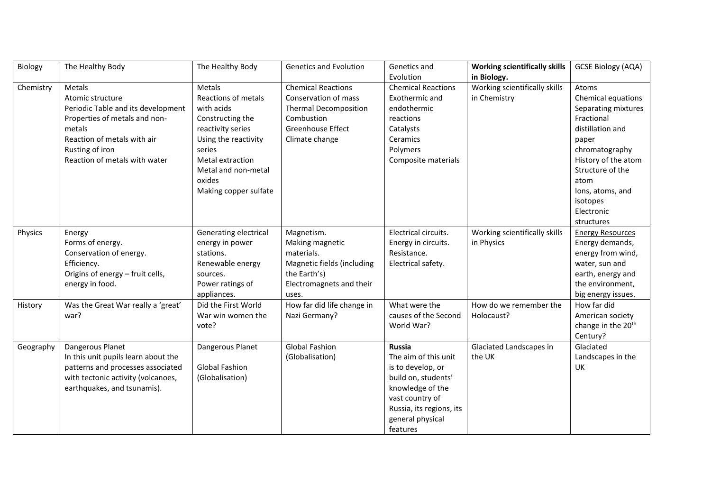| Biology   | The Healthy Body                    | The Healthy Body      | <b>Genetics and Evolution</b> | Genetics and              | <b>Working scientifically skills</b> | <b>GCSE Biology (AQA)</b>      |
|-----------|-------------------------------------|-----------------------|-------------------------------|---------------------------|--------------------------------------|--------------------------------|
|           |                                     |                       |                               | Evolution                 | in Biology.                          |                                |
| Chemistry | Metals                              | Metals                | <b>Chemical Reactions</b>     | <b>Chemical Reactions</b> | Working scientifically skills        | Atoms                          |
|           | Atomic structure                    | Reactions of metals   | Conservation of mass          | Exothermic and            | in Chemistry                         | Chemical equations             |
|           | Periodic Table and its development  | with acids            | <b>Thermal Decomposition</b>  | endothermic               |                                      | Separating mixtures            |
|           | Properties of metals and non-       | Constructing the      | Combustion                    | reactions                 |                                      | Fractional                     |
|           | metals                              | reactivity series     | <b>Greenhouse Effect</b>      | Catalysts                 |                                      | distillation and               |
|           | Reaction of metals with air         | Using the reactivity  | Climate change                | Ceramics                  |                                      | paper                          |
|           | Rusting of iron                     | series                |                               | Polymers                  |                                      | chromatography                 |
|           | Reaction of metals with water       | Metal extraction      |                               | Composite materials       |                                      | History of the atom            |
|           |                                     | Metal and non-metal   |                               |                           |                                      | Structure of the               |
|           |                                     | oxides                |                               |                           |                                      | atom                           |
|           |                                     | Making copper sulfate |                               |                           |                                      | lons, atoms, and               |
|           |                                     |                       |                               |                           |                                      | isotopes                       |
|           |                                     |                       |                               |                           |                                      | Electronic                     |
|           |                                     |                       |                               |                           |                                      | structures                     |
| Physics   | Energy                              | Generating electrical | Magnetism.                    | Electrical circuits.      | Working scientifically skills        | <b>Energy Resources</b>        |
|           | Forms of energy.                    | energy in power       | Making magnetic               | Energy in circuits.       | in Physics                           | Energy demands,                |
|           | Conservation of energy.             | stations.             | materials.                    | Resistance.               |                                      | energy from wind,              |
|           | Efficiency.                         | Renewable energy      | Magnetic fields (including    | Electrical safety.        |                                      | water, sun and                 |
|           | Origins of energy - fruit cells,    | sources.              | the Earth's)                  |                           |                                      | earth, energy and              |
|           | energy in food.                     | Power ratings of      | Electromagnets and their      |                           |                                      | the environment,               |
|           |                                     | appliances.           | uses.                         |                           |                                      | big energy issues.             |
| History   | Was the Great War really a 'great'  | Did the First World   | How far did life change in    | What were the             | How do we remember the               | How far did                    |
|           | war?                                | War win women the     | Nazi Germany?                 | causes of the Second      | Holocaust?                           | American society               |
|           |                                     | vote?                 |                               | World War?                |                                      | change in the 20 <sup>th</sup> |
|           |                                     |                       |                               |                           |                                      | Century?                       |
| Geography | Dangerous Planet                    | Dangerous Planet      | <b>Global Fashion</b>         | <b>Russia</b>             | Glaciated Landscapes in              | Glaciated                      |
|           | In this unit pupils learn about the |                       | (Globalisation)               | The aim of this unit      | the UK                               | Landscapes in the              |
|           | patterns and processes associated   | Global Fashion        |                               | is to develop, or         |                                      | UK                             |
|           | with tectonic activity (volcanoes,  | (Globalisation)       |                               | build on, students'       |                                      |                                |
|           | earthquakes, and tsunamis).         |                       |                               | knowledge of the          |                                      |                                |
|           |                                     |                       |                               | vast country of           |                                      |                                |
|           |                                     |                       |                               | Russia, its regions, its  |                                      |                                |
|           |                                     |                       |                               | general physical          |                                      |                                |
|           |                                     |                       |                               | features                  |                                      |                                |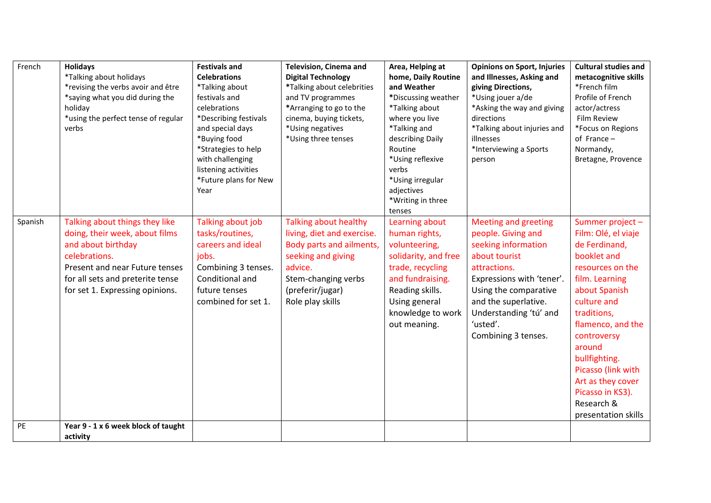| French  | <b>Holidays</b><br>*Talking about holidays<br>*revising the verbs avoir and être<br>*saying what you did during the                                                                                              | <b>Festivals and</b><br><b>Celebrations</b><br>*Talking about<br>festivals and                                                                                                | <b>Television, Cinema and</b><br><b>Digital Technology</b><br>*Talking about celebrities<br>and TV programmes                                                                   | Area, Helping at<br>home, Daily Routine<br>and Weather<br>*Discussing weather                                                                                                             | <b>Opinions on Sport, Injuries</b><br>and Illnesses, Asking and<br>giving Directions,<br>*Using jouer a/de                                                                                                                                           | <b>Cultural studies and</b><br>metacognitive skills<br>*French film<br>Profile of French                                                                                                                                                                                                                                       |
|---------|------------------------------------------------------------------------------------------------------------------------------------------------------------------------------------------------------------------|-------------------------------------------------------------------------------------------------------------------------------------------------------------------------------|---------------------------------------------------------------------------------------------------------------------------------------------------------------------------------|-------------------------------------------------------------------------------------------------------------------------------------------------------------------------------------------|------------------------------------------------------------------------------------------------------------------------------------------------------------------------------------------------------------------------------------------------------|--------------------------------------------------------------------------------------------------------------------------------------------------------------------------------------------------------------------------------------------------------------------------------------------------------------------------------|
|         | holiday<br>*using the perfect tense of regular<br>verbs                                                                                                                                                          | celebrations<br>*Describing festivals<br>and special days<br>*Buying food<br>*Strategies to help<br>with challenging<br>listening activities<br>*Future plans for New<br>Year | *Arranging to go to the<br>cinema, buying tickets,<br>*Using negatives<br>*Using three tenses                                                                                   | *Talking about<br>where you live<br>*Talking and<br>describing Daily<br>Routine<br>*Using reflexive<br>verbs<br>*Using irregular<br>adjectives<br>*Writing in three<br>tenses             | *Asking the way and giving<br>directions<br>*Talking about injuries and<br>illnesses<br>*Interviewing a Sports<br>person                                                                                                                             | actor/actress<br><b>Film Review</b><br>*Focus on Regions<br>of France-<br>Normandy,<br>Bretagne, Provence                                                                                                                                                                                                                      |
| Spanish | Talking about things they like<br>doing, their week, about films<br>and about birthday<br>celebrations.<br>Present and near Future tenses<br>for all sets and preterite tense<br>for set 1. Expressing opinions. | Talking about job<br>tasks/routines,<br>careers and ideal<br>jobs.<br>Combining 3 tenses.<br>Conditional and<br>future tenses<br>combined for set 1.                          | Talking about healthy<br>living, diet and exercise.<br>Body parts and ailments,<br>seeking and giving<br>advice.<br>Stem-changing verbs<br>(preferir/jugar)<br>Role play skills | Learning about<br>human rights,<br>volunteering,<br>solidarity, and free<br>trade, recycling<br>and fundraising.<br>Reading skills.<br>Using general<br>knowledge to work<br>out meaning. | <b>Meeting and greeting</b><br>people. Giving and<br>seeking information<br>about tourist<br>attractions.<br>Expressions with 'tener'.<br>Using the comparative<br>and the superlative.<br>Understanding 'tú' and<br>'usted'.<br>Combining 3 tenses. | Summer project-<br>Film: Olé, el viaje<br>de Ferdinand,<br>booklet and<br>resources on the<br>film. Learning<br>about Spanish<br>culture and<br>traditions,<br>flamenco, and the<br>controversy<br>around<br>bullfighting.<br>Picasso (link with<br>Art as they cover<br>Picasso in KS3).<br>Research &<br>presentation skills |
| PE      | Year 9 - 1 x 6 week block of taught<br>activity                                                                                                                                                                  |                                                                                                                                                                               |                                                                                                                                                                                 |                                                                                                                                                                                           |                                                                                                                                                                                                                                                      |                                                                                                                                                                                                                                                                                                                                |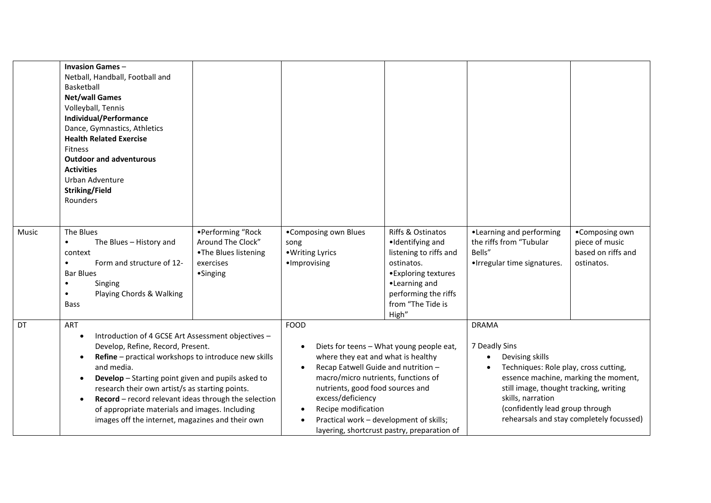|       | <b>Invasion Games-</b><br>Netball, Handball, Football and<br>Basketball<br><b>Net/wall Games</b><br>Volleyball, Tennis<br><b>Individual/Performance</b><br>Dance, Gymnastics, Athletics<br><b>Health Related Exercise</b><br><b>Fitness</b><br><b>Outdoor and adventurous</b><br><b>Activities</b><br>Urban Adventure<br><b>Striking/Field</b><br>Rounders                                                                                                                                      |                                                                                         |                                                                                                                                                                                                                                                                                      |                                                                                                                                                                              |                                                                                                                                                                                             |                                                                                  |
|-------|-------------------------------------------------------------------------------------------------------------------------------------------------------------------------------------------------------------------------------------------------------------------------------------------------------------------------------------------------------------------------------------------------------------------------------------------------------------------------------------------------|-----------------------------------------------------------------------------------------|--------------------------------------------------------------------------------------------------------------------------------------------------------------------------------------------------------------------------------------------------------------------------------------|------------------------------------------------------------------------------------------------------------------------------------------------------------------------------|---------------------------------------------------------------------------------------------------------------------------------------------------------------------------------------------|----------------------------------------------------------------------------------|
| Music | The Blues<br>The Blues - History and<br>$\bullet$<br>context<br>Form and structure of 12-<br>$\bullet$<br><b>Bar Blues</b><br>Singing<br>٠<br>Playing Chords & Walking<br>$\bullet$<br><b>Bass</b>                                                                                                                                                                                                                                                                                              | •Performing "Rock<br>Around The Clock"<br>.The Blues listening<br>exercises<br>•Singing | •Composing own Blues<br>song<br>• Writing Lyrics<br>·Improvising                                                                                                                                                                                                                     | Riffs & Ostinatos<br>·Identifying and<br>listening to riffs and<br>ostinatos.<br>• Exploring textures<br>•Learning and<br>performing the riffs<br>from "The Tide is<br>High" | •Learning and performing<br>the riffs from "Tubular<br>Bells"<br>•Irregular time signatures.                                                                                                | •Composing own<br>piece of music<br>based on riffs and<br>ostinatos.             |
| DT    | ART<br>Introduction of 4 GCSE Art Assessment objectives -<br>$\bullet$<br>Develop, Refine, Record, Present.<br>Refine - practical workshops to introduce new skills<br>$\bullet$<br>and media.<br>Develop - Starting point given and pupils asked to<br>$\bullet$<br>research their own artist/s as starting points.<br>Record - record relevant ideas through the selection<br>$\bullet$<br>of appropriate materials and images. Including<br>images off the internet, magazines and their own |                                                                                         | <b>FOOD</b><br>$\bullet$<br>where they eat and what is healthy<br>Recap Eatwell Guide and nutrition -<br>macro/micro nutrients, functions of<br>nutrients, good food sources and<br>excess/deficiency<br>Recipe modification<br>$\bullet$<br>Practical work - development of skills; | Diets for teens - What young people eat,<br>layering, shortcrust pastry, preparation of                                                                                      | <b>DRAMA</b><br>7 Deadly Sins<br>Devising skills<br>Techniques: Role play, cross cutting,<br>still image, thought tracking, writing<br>skills, narration<br>(confidently lead group through | essence machine, marking the moment,<br>rehearsals and stay completely focussed) |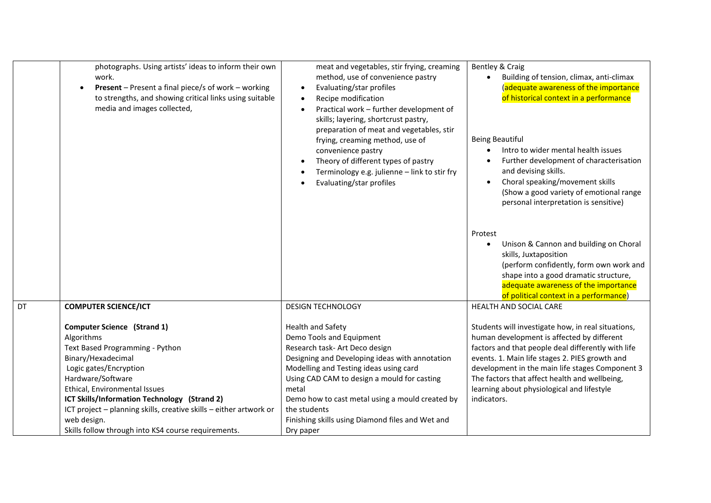|    | photographs. Using artists' ideas to inform their own<br>work.<br><b>Present</b> – Present a final piece/s of work – working<br>to strengths, and showing critical links using suitable<br>media and images collected,                                                                                                                                                                | meat and vegetables, stir frying, creaming<br>method, use of convenience pastry<br>Evaluating/star profiles<br>Recipe modification<br>Practical work - further development of<br>skills; layering, shortcrust pastry,<br>preparation of meat and vegetables, stir<br>frying, creaming method, use of<br>convenience pastry<br>Theory of different types of pastry<br>Terminology e.g. julienne - link to stir fry<br>Evaluating/star profiles | Bentley & Craig<br>Building of tension, climax, anti-climax<br>$\bullet$<br>(adequate awareness of the importance<br>of historical context in a performance<br>Being Beautiful<br>Intro to wider mental health issues<br>$\bullet$<br>Further development of characterisation<br>$\bullet$<br>and devising skills.<br>Choral speaking/movement skills<br>(Show a good variety of emotional range<br>personal interpretation is sensitive)<br>Protest<br>Unison & Cannon and building on Choral<br>$\bullet$ |
|----|---------------------------------------------------------------------------------------------------------------------------------------------------------------------------------------------------------------------------------------------------------------------------------------------------------------------------------------------------------------------------------------|-----------------------------------------------------------------------------------------------------------------------------------------------------------------------------------------------------------------------------------------------------------------------------------------------------------------------------------------------------------------------------------------------------------------------------------------------|-------------------------------------------------------------------------------------------------------------------------------------------------------------------------------------------------------------------------------------------------------------------------------------------------------------------------------------------------------------------------------------------------------------------------------------------------------------------------------------------------------------|
|    |                                                                                                                                                                                                                                                                                                                                                                                       |                                                                                                                                                                                                                                                                                                                                                                                                                                               | skills, Juxtaposition<br>(perform confidently, form own work and<br>shape into a good dramatic structure,<br>adequate awareness of the importance<br>of political context in a performance)                                                                                                                                                                                                                                                                                                                 |
| DT | <b>COMPUTER SCIENCE/ICT</b>                                                                                                                                                                                                                                                                                                                                                           | <b>DESIGN TECHNOLOGY</b>                                                                                                                                                                                                                                                                                                                                                                                                                      | HEALTH AND SOCIAL CARE                                                                                                                                                                                                                                                                                                                                                                                                                                                                                      |
|    | <b>Computer Science (Strand 1)</b><br>Algorithms<br>Text Based Programming - Python<br>Binary/Hexadecimal<br>Logic gates/Encryption<br>Hardware/Software<br>Ethical, Environmental Issues<br>ICT Skills/Information Technology (Strand 2)<br>ICT project - planning skills, creative skills - either artwork or<br>web design.<br>Skills follow through into KS4 course requirements. | Health and Safety<br>Demo Tools and Equipment<br>Research task- Art Deco design<br>Designing and Developing ideas with annotation<br>Modelling and Testing ideas using card<br>Using CAD CAM to design a mould for casting<br>metal<br>Demo how to cast metal using a mould created by<br>the students<br>Finishing skills using Diamond files and Wet and<br>Dry paper                                                                       | Students will investigate how, in real situations,<br>human development is affected by different<br>factors and that people deal differently with life<br>events. 1. Main life stages 2. PIES growth and<br>development in the main life stages Component 3<br>The factors that affect health and wellbeing,<br>learning about physiological and lifestyle<br>indicators.                                                                                                                                   |